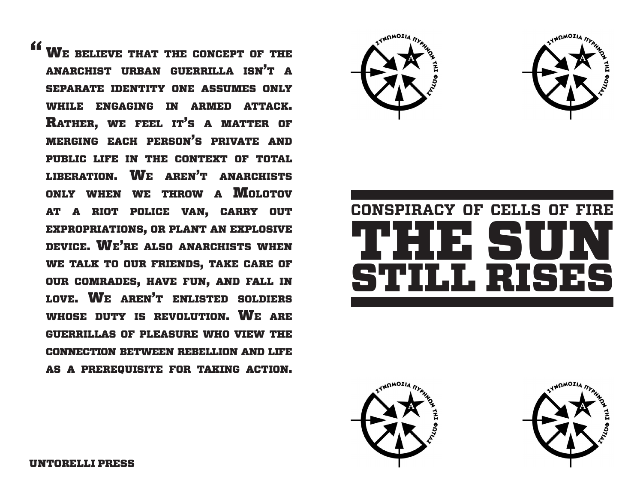**" WE BELIEVE THAT THE CONCEPT OF THE** anarchist urban guerrilla isn't <sup>a</sup> separate identity one assumes only while engaging in armed attack. Rather, we feel it's a matter of merging each person's private and public life in the context of total liberation. We aren't anarchists ONLY WHEN WE THROW A MOLOTOV at a riot police van, carry out expropriations, or plant an explosive device. We're also anarchists when we talk to our friends, take care of our comrades, have fun, and fall in love. We aren't enlisted soldiers WHOSE DUTY IS REVOLUTION. WE ARE guerrillas of pleasure who view the connection between rebellion and life as a prerequisite for taking action.









UNTORELLI PRESS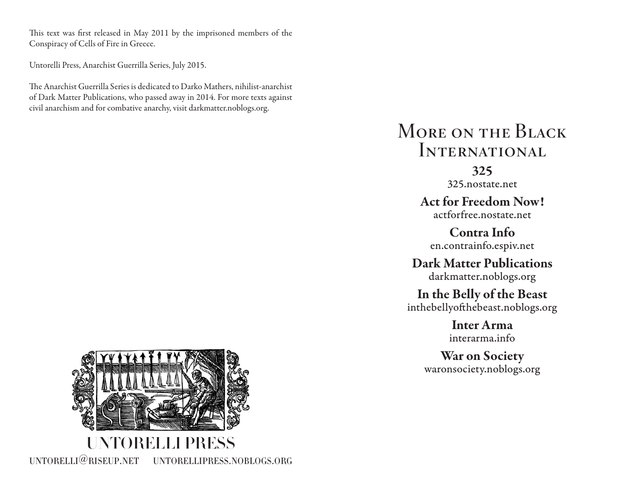This text was first released in May 2011 by the imprisoned members of the Conspiracy of Cells of Fire in Greece.

Untorelli Press, Anarchist Guerrilla Series, July 2015.

The Anarchist Guerrilla Series is dedicated to Darko Mathers, nihilist-anarchist of Dark Matter Publications, who passed away in 2014. For more texts against civil anarchism and for combative anarchy, visit darkmatter.noblogs.org.

# MORE ON THE BLACK **INTERNATIONAL**

## 325

325.nostate.net

Act for Freedom Now! actforfree.nostate.net

Contra Info en.contrainfo.espiv.net

Dark Matter Publications darkmatter.noblogs.org

In the Belly of the Beast inthebellyofthebeast.noblogs.org

> Inter Arma interarma.info

War on Society waronsociety.noblogs.org

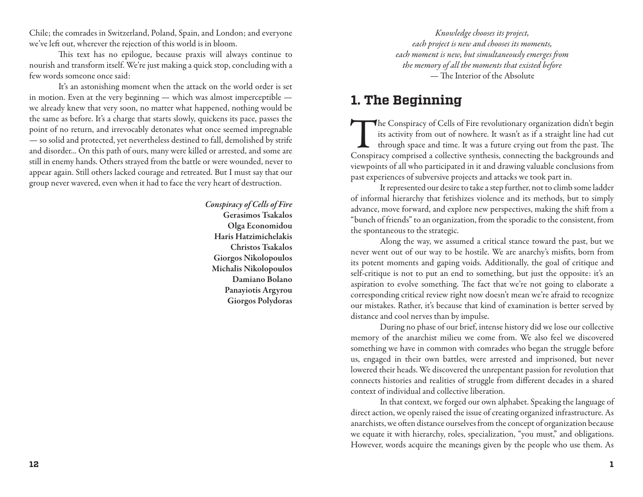Chile; the comrades in Switzerland, Poland, Spain, and London; and everyone we've left out, wherever the rejection of this world is in bloom.

This text has no epilogue, because praxis will always continue to nourish and transform itself. We're just making a quick stop, concluding with a few words someone once said:

It's an astonishing moment when the attack on the world order is set in motion. Even at the very beginning — which was almost imperceptible we already knew that very soon, no matter what happened, nothing would be the same as before. It's a charge that starts slowly, quickens its pace, passes the point of no return, and irrevocably detonates what once seemed impregnable — so solid and protected, yet nevertheless destined to fall, demolished by strife and disorder... On this path of ours, many were killed or arrested, and some are still in enemy hands. Others strayed from the battle or were wounded, never to appear again. Still others lacked courage and retreated. But I must say that our group never wavered, even when it had to face the very heart of destruction.

> *Conspiracy of Cells of Fire* Gerasimos Tsakalos Olga Economidou Haris Hatzimichelakis Christos Tsakalos Giorgos Nikolopoulos Michalis Nikolopoulos Damiano Bolano Panayiotis Argyrou Giorgos Polydoras

*Knowledge chooses its project, each project is new and chooses its moments, each moment is new, but simultaneously emerges from the memory of all the moments that existed before* — The Interior of the Absolute

#### **1. The Beginning**

The Conspiracy of Cells of Fire revolutionary organization didn't begin<br>its activity from out of nowhere. It wasn't as if a straight line had cut<br>through space and time. It was a future crying out from the past. The<br>Conspi its activity from out of nowhere. It wasn't as if a straight line had cut through space and time. It was a future crying out from the past. The Conspiracy comprised a collective synthesis, connecting the backgrounds and viewpoints of all who participated in it and drawing valuable conclusions from past experiences of subversive projects and attacks we took part in.

It represented our desire to take a step further, not to climb some ladder of informal hierarchy that fetishizes violence and its methods, but to simply advance, move forward, and explore new perspectives, making the shift from a "bunch of friends" to an organization, from the sporadic to the consistent, from the spontaneous to the strategic.

Along the way, we assumed a critical stance toward the past, but we never went out of our way to be hostile. We are anarchy's misfits, born from its potent moments and gaping voids. Additionally, the goal of critique and self-critique is not to put an end to something, but just the opposite: it's an aspiration to evolve something. The fact that we're not going to elaborate a corresponding critical review right now doesn't mean we're afraid to recognize our mistakes. Rather, it's because that kind of examination is better served by distance and cool nerves than by impulse.

During no phase of our brief, intense history did we lose our collective memory of the anarchist milieu we come from. We also feel we discovered something we have in common with comrades who began the struggle before us, engaged in their own battles, were arrested and imprisoned, but never lowered their heads. We discovered the unrepentant passion for revolution that connects histories and realities of struggle from different decades in a shared context of individual and collective liberation.

In that context, we forged our own alphabet. Speaking the language of direct action, we openly raised the issue of creating organized infrastructure. As anarchists, we often distance ourselves from the concept of organization because we equate it with hierarchy, roles, specialization, "you must," and obligations. However, words acquire the meanings given by the people who use them. As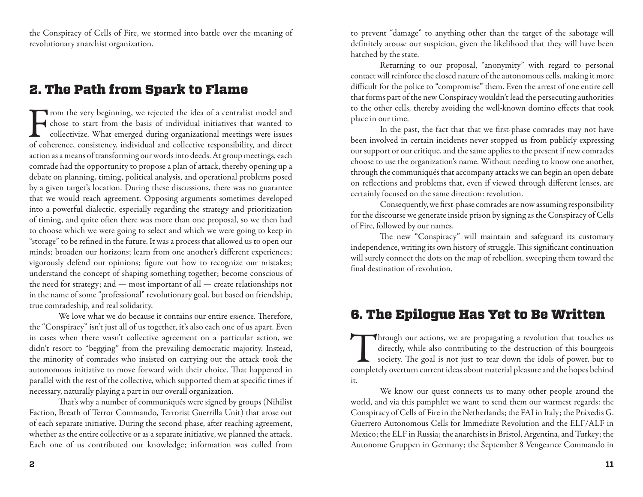the Conspiracy of Cells of Fire, we stormed into battle over the meaning of revolutionary anarchist organization.

### 2. The Path from Spark to Flame

From the very beginning, we rejected the idea of a centralist model and chose to start from the basis of individual initiatives that wanted to collectivize. What emerged during organizational meetings were issues of cohere chose to start from the basis of individual initiatives that wanted to collectivize. What emerged during organizational meetings were issues of coherence, consistency, individual and collective responsibility, and direct action as a means of transforming our words into deeds. At group meetings, each comrade had the opportunity to propose a plan of attack, thereby opening up a debate on planning, timing, political analysis, and operational problems posed by a given target's location. During these discussions, there was no guarantee that we would reach agreement. Opposing arguments sometimes developed into a powerful dialectic, especially regarding the strategy and prioritization of timing, and quite often there was more than one proposal, so we then had to choose which we were going to select and which we were going to keep in "storage" to be refined in the future. It was a process that allowed us to open our minds; broaden our horizons; learn from one another's different experiences; vigorously defend our opinions; figure out how to recognize our mistakes; understand the concept of shaping something together; become conscious of the need for strategy; and — most important of all — create relationships not in the name of some "professional" revolutionary goal, but based on friendship, true comradeship, and real solidarity.

We love what we do because it contains our entire essence. Therefore, the "Conspiracy" isn't just all of us together, it's also each one of us apart. Even in cases when there wasn't collective agreement on a particular action, we didn't resort to "begging" from the prevailing democratic majority. Instead, the minority of comrades who insisted on carrying out the attack took the autonomous initiative to move forward with their choice. That happened in parallel with the rest of the collective, which supported them at specific times if necessary, naturally playing a part in our overall organization.

That's why a number of communiqués were signed by groups (Nihilist Faction, Breath of Terror Commando, Terrorist Guerrilla Unit) that arose out of each separate initiative. During the second phase, after reaching agreement, whether as the entire collective or as a separate initiative, we planned the attack. Each one of us contributed our knowledge; information was culled from

to prevent "damage" to anything other than the target of the sabotage will definitely arouse our suspicion, given the likelihood that they will have been hatched by the state.

Returning to our proposal, "anonymity" with regard to personal contact will reinforce the closed nature of the autonomous cells, making it more difficult for the police to "compromise" them. Even the arrest of one entire cell that forms part of the new Conspiracy wouldn't lead the persecuting authorities to the other cells, thereby avoiding the well-known domino effects that took place in our time.

In the past, the fact that that we first-phase comrades may not have been involved in certain incidents never stopped us from publicly expressing our support or our critique, and the same applies to the present if new comrades choose to use the organization's name. Without needing to know one another, through the communiqués that accompany attacks we can begin an open debate on reflections and problems that, even if viewed through different lenses, are certainly focused on the same direction: revolution.

Consequently, we first-phase comrades are now assuming responsibility for the discourse we generate inside prison by signing as the Conspiracy of Cells of Fire, followed by our names.

The new "Conspiracy" will maintain and safeguard its customary independence, writing its own history of struggle. This significant continuation will surely connect the dots on the map of rebellion, sweeping them toward the final destination of revolution.

### 6. The Epilogue Has Yet to Be Written

Through our actions, we are propagating a revolution that touches us directly, while also contributing to the destruction of this bourgeois society. The goal is not just to tear down the idols of power, but to completely o directly, while also contributing to the destruction of this bourgeois society. The goal is not just to tear down the idols of power, but to completely overturn current ideas about material pleasure and the hopes behind it.

We know our quest connects us to many other people around the world, and via this pamphlet we want to send them our warmest regards: the Conspiracy of Cells of Fire in the Netherlands; the FAI in Italy; the Práxedis G. Guerrero Autonomous Cells for Immediate Revolution and the ELF/ALF in Mexico; the ELF in Russia; the anarchists in Bristol, Argentina, and Turkey; the Autonome Gruppen in Germany; the September 8 Vengeance Commando in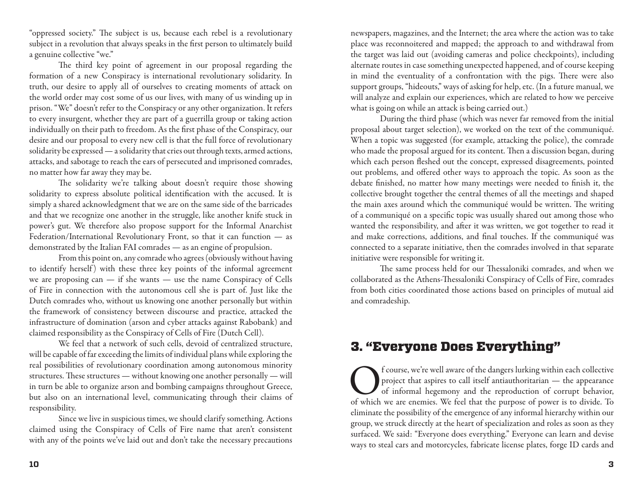"oppressed society." The subject is us, because each rebel is a revolutionary subject in a revolution that always speaks in the first person to ultimately build a genuine collective "we."

The third key point of agreement in our proposal regarding the formation of a new Conspiracy is international revolutionary solidarity. In truth, our desire to apply all of ourselves to creating moments of attack on the world order may cost some of us our lives, with many of us winding up in prison. "We" doesn't refer to the Conspiracy or any other organization. It refers to every insurgent, whether they are part of a guerrilla group or taking action individually on their path to freedom. As the first phase of the Conspiracy, our desire and our proposal to every new cell is that the full force of revolutionary solidarity be expressed — a solidarity that cries out through texts, armed actions, attacks, and sabotage to reach the ears of persecuted and imprisoned comrades, no matter how far away they may be.

The solidarity we're talking about doesn't require those showing solidarity to express absolute political identification with the accused. It is simply a shared acknowledgment that we are on the same side of the barricades and that we recognize one another in the struggle, like another knife stuck in power's gut. We therefore also propose support for the Informal Anarchist Federation/International Revolutionary Front, so that it can function — as demonstrated by the Italian FAI comrades — as an engine of propulsion.

From this point on, any comrade who agrees (obviously without having to identify herself) with these three key points of the informal agreement we are proposing can — if she wants — use the name Conspiracy of Cells of Fire in connection with the autonomous cell she is part of. Just like the Dutch comrades who, without us knowing one another personally but within the framework of consistency between discourse and practice, attacked the infrastructure of domination (arson and cyber attacks against Rabobank) and claimed responsibility as the Conspiracy of Cells of Fire (Dutch Cell).

We feel that a network of such cells, devoid of centralized structure, will be capable of far exceeding the limits of individual plans while exploring the real possibilities of revolutionary coordination among autonomous minority structures. These structures — without knowing one another personally — will in turn be able to organize arson and bombing campaigns throughout Greece, but also on an international level, communicating through their claims of responsibility.

Since we live in suspicious times, we should clarify something. Actions claimed using the Conspiracy of Cells of Fire name that aren't consistent with any of the points we've laid out and don't take the necessary precautions

newspapers, magazines, and the Internet; the area where the action was to take place was reconnoitered and mapped; the approach to and withdrawal from the target was laid out (avoiding cameras and police checkpoints), including alternate routes in case something unexpected happened, and of course keeping in mind the eventuality of a confrontation with the pigs. There were also support groups, "hideouts," ways of asking for help, etc. (In a future manual, we will analyze and explain our experiences, which are related to how we perceive what is going on while an attack is being carried out.)

During the third phase (which was never far removed from the initial proposal about target selection), we worked on the text of the communiqué. When a topic was suggested (for example, attacking the police), the comrade who made the proposal argued for its content. Then a discussion began, during which each person fleshed out the concept, expressed disagreements, pointed out problems, and offered other ways to approach the topic. As soon as the debate finished, no matter how many meetings were needed to finish it, the collective brought together the central themes of all the meetings and shaped the main axes around which the communiqué would be written. The writing of a communiqué on a specific topic was usually shared out among those who wanted the responsibility, and after it was written, we got together to read it and make corrections, additions, and final touches. If the communiqué was connected to a separate initiative, then the comrades involved in that separate initiative were responsible for writing it.

The same process held for our Thessaloniki comrades, and when we collaborated as the Athens-Thessaloniki Conspiracy of Cells of Fire, comrades from both cities coordinated those actions based on principles of mutual aid and comradeship.

### 3. "Everyone Does Everything"

**C** frourse, we're well aware of the dangers lurking within each collective project that aspires to call itself antiauthoritarian — the appearance of informal hegemony and the reproduction of corrupt behavior, of which we project that aspires to call itself antiauthoritarian — the appearance of informal hegemony and the reproduction of corrupt behavior, of which we are enemies. We feel that the purpose of power is to divide. To eliminate the possibility of the emergence of any informal hierarchy within our group, we struck directly at the heart of specialization and roles as soon as they surfaced. We said: "Everyone does everything." Everyone can learn and devise ways to steal cars and motorcycles, fabricate license plates, forge ID cards and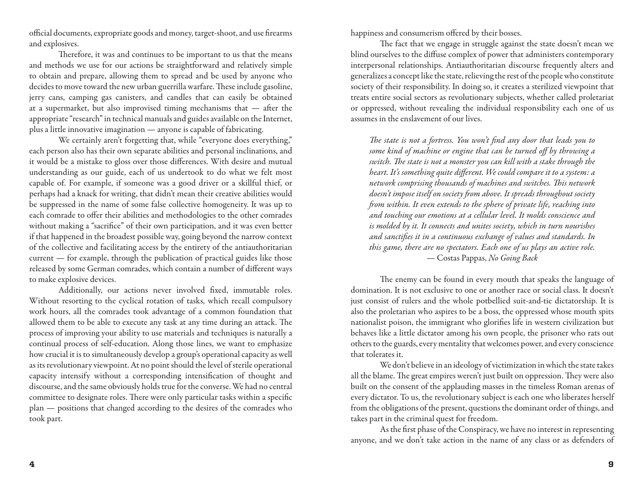official documents, expropriate goods and money, target-shoot, and use firearms and explosives.

Therefore, it was and continues to be important to us that the means and methods we use for our actions be straightforward and relatively simple to obtain and prepare, allowing them to spread and be used by anyone who decides to move toward the new urban guerrilla warfare. These include gasoline, jerry cans, camping gas canisters, and candles that can easily be obtained at a supermarket, but also improvised timing mechanisms that — after the appropriate "research" in technical manuals and guides available on the Internet, plus a little innovative imagination — anyone is capable of fabricating.

We certainly aren't forgetting that, while "everyone does everything," each person also has their own separate abilities and personal inclinations, and it would be a mistake to gloss over those differences. With desire and mutual understanding as our guide, each of us undertook to do what we felt most capable of. For example, if someone was a good driver or a skillful thief, or perhaps had a knack for writing, that didn't mean their creative abilities would be suppressed in the name of some false collective homogeneity. It was up to each comrade to offer their abilities and methodologies to the other comrades without making a "sacrifice" of their own participation, and it was even better if that happened in the broadest possible way, going beyond the narrow context of the collective and facilitating access by the entirety of the antiauthoritarian current — for example, through the publication of practical guides like those released by some German comrades, which contain a number of different ways to make explosive devices.

Additionally, our actions never involved fixed, immutable roles. Without resorting to the cyclical rotation of tasks, which recall compulsory work hours, all the comrades took advantage of a common foundation that allowed them to be able to execute any task at any time during an attack. The process of improving your ability to use materials and techniques is naturally a continual process of self-education. Along those lines, we want to emphasize how crucial it is to simultaneously develop a group's operational capacity as well as its revolutionary viewpoint. At no point should the level of sterile operational capacity intensify without a corresponding intensification of thought and discourse, and the same obviously holds true for the converse. We had no central committee to designate roles. There were only particular tasks within a specific plan — positions that changed according to the desires of the comrades who took part.

happiness and consumerism offered by their bosses.

The fact that we engage in struggle against the state doesn't mean we blind ourselves to the diffuse complex of power that administers contemporary interpersonal relationships. Antiauthoritarian discourse frequently alters and generalizes a concept like the state, relieving the rest of the people who constitute society of their responsibility. In doing so, it creates a sterilized viewpoint that treats entire social sectors as revolutionary subjects, whether called proletariat or oppressed, without revealing the individual responsibility each one of us assumes in the enslavement of our lives.

*The state is not a fortress. You won't find any door that leads you to some kind of machine or engine that can be turned off by throwing a switch. The state is not a monster you can kill with a stake through the heart. It's something quite different. We could compare it to a system: a network comprising thousands of machines and switches. This network doesn't impose itself on society from above. It spreads throughout society from within. It even extends to the sphere of private life, reaching into and touching our emotions at a cellular level. It molds conscience and is molded by it. It connects and unites society, which in turn nourishes and sanctifies it in a continuous exchange of values and standards. In this game, there are no spectators. Each one of us plays an active role.* — Costas Pappas, *No Going Back*

The enemy can be found in every mouth that speaks the language of domination. It is not exclusive to one or another race or social class. It doesn't just consist of rulers and the whole potbellied suit-and-tie dictatorship. It is also the proletarian who aspires to be a boss, the oppressed whose mouth spits nationalist poison, the immigrant who glorifies life in western civilization but behaves like a little dictator among his own people, the prisoner who rats out others to the guards, every mentality that welcomes power, and every conscience that tolerates it.

We don't believe in an ideology of victimization in which the state takes all the blame. The great empires weren't just built on oppression. They were also built on the consent of the applauding masses in the timeless Roman arenas of every dictator. To us, the revolutionary subject is each one who liberates herself from the obligations of the present, questions the dominant order of things, and takes part in the criminal quest for freedom.

As the first phase of the Conspiracy, we have no interest in representing anyone, and we don't take action in the name of any class or as defenders of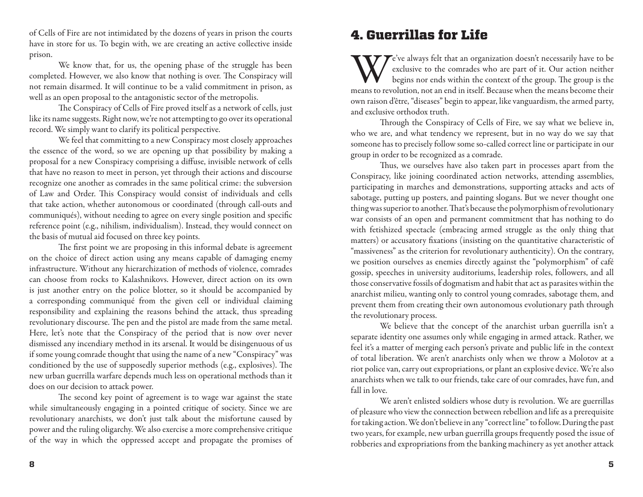of Cells of Fire are not intimidated by the dozens of years in prison the courts have in store for us. To begin with, we are creating an active collective inside prison.

We know that, for us, the opening phase of the struggle has been completed. However, we also know that nothing is over. The Conspiracy will not remain disarmed. It will continue to be a valid commitment in prison, as well as an open proposal to the antagonistic sector of the metropolis.

The Conspiracy of Cells of Fire proved itself as a network of cells, just like its name suggests. Right now, we're not attempting to go over its operational record. We simply want to clarify its political perspective.

We feel that committing to a new Conspiracy most closely approaches the essence of the word, so we are opening up that possibility by making a proposal for a new Conspiracy comprising a diffuse, invisible network of cells that have no reason to meet in person, yet through their actions and discourse recognize one another as comrades in the same political crime: the subversion of Law and Order. This Conspiracy would consist of individuals and cells that take action, whether autonomous or coordinated (through call-outs and communiqués), without needing to agree on every single position and specific reference point (e.g., nihilism, individualism). Instead, they would connect on the basis of mutual aid focused on three key points.

The first point we are proposing in this informal debate is agreement on the choice of direct action using any means capable of damaging enemy infrastructure. Without any hierarchization of methods of violence, comrades can choose from rocks to Kalashnikovs. However, direct action on its own is just another entry on the police blotter, so it should be accompanied by a corresponding communiqué from the given cell or individual claiming responsibility and explaining the reasons behind the attack, thus spreading revolutionary discourse. The pen and the pistol are made from the same metal. Here, let's note that the Conspiracy of the period that is now over never dismissed any incendiary method in its arsenal. It would be disingenuous of us if some young comrade thought that using the name of a new "Conspiracy" was conditioned by the use of supposedly superior methods (e.g., explosives). The new urban guerrilla warfare depends much less on operational methods than it does on our decision to attack power.

The second key point of agreement is to wage war against the state while simultaneously engaging in a pointed critique of society. Since we are revolutionary anarchists, we don't just talk about the misfortune caused by power and the ruling oligarchy. We also exercise a more comprehensive critique of the way in which the oppressed accept and propagate the promises of

#### 4. Guerrillas for Life

We've always felt that an organization doesn't necessarily have to be exclusive to the comrades who are part of it. Our action neither begins nor ends within the context of the group. The group is the means to revolution, exclusive to the comrades who are part of it. Our action neither begins nor ends within the context of the group. The group is the means to revolution, not an end in itself. Because when the means become their own raison d'être, "diseases" begin to appear, like vanguardism, the armed party, and exclusive orthodox truth.

Through the Conspiracy of Cells of Fire, we say what we believe in, who we are, and what tendency we represent, but in no way do we say that someone has to precisely follow some so-called correct line or participate in our group in order to be recognized as a comrade.

Thus, we ourselves have also taken part in processes apart from the Conspiracy, like joining coordinated action networks, attending assemblies, participating in marches and demonstrations, supporting attacks and acts of sabotage, putting up posters, and painting slogans. But we never thought one thing was superior to another. That's because the polymorphism of revolutionary war consists of an open and permanent commitment that has nothing to do with fetishized spectacle (embracing armed struggle as the only thing that matters) or accusatory fixations (insisting on the quantitative characteristic of "massiveness" as the criterion for revolutionary authenticity). On the contrary, we position ourselves as enemies directly against the "polymorphism" of café gossip, speeches in university auditoriums, leadership roles, followers, and all those conservative fossils of dogmatism and habit that act as parasites within the anarchist milieu, wanting only to control young comrades, sabotage them, and prevent them from creating their own autonomous evolutionary path through the revolutionary process.

We believe that the concept of the anarchist urban guerrilla isn't a separate identity one assumes only while engaging in armed attack. Rather, we feel it's a matter of merging each person's private and public life in the context of total liberation. We aren't anarchists only when we throw a Molotov at a riot police van, carry out expropriations, or plant an explosive device. We're also anarchists when we talk to our friends, take care of our comrades, have fun, and fall in love.

We aren't enlisted soldiers whose duty is revolution. We are guerrillas of pleasure who view the connection between rebellion and life as a prerequisite for taking action. We don't believe in any "correct line" to follow. During the past two years, for example, new urban guerrilla groups frequently posed the issue of robberies and expropriations from the banking machinery as yet another attack